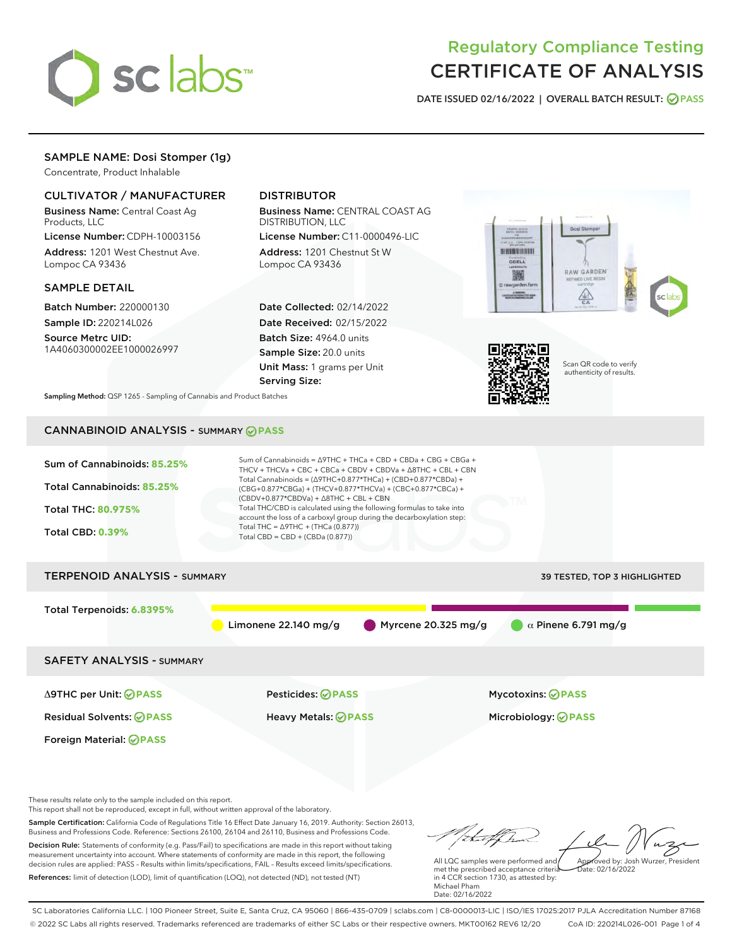

# Regulatory Compliance Testing CERTIFICATE OF ANALYSIS

DATE ISSUED 02/16/2022 | OVERALL BATCH RESULT: @ PASS

# SAMPLE NAME: Dosi Stomper (1g)

Concentrate, Product Inhalable

# CULTIVATOR / MANUFACTURER

Business Name: Central Coast Ag Products, LLC

License Number: CDPH-10003156 Address: 1201 West Chestnut Ave. Lompoc CA 93436

## SAMPLE DETAIL

Batch Number: 220000130 Sample ID: 220214L026

Source Metrc UID: 1A4060300002EE1000026997

# DISTRIBUTOR

Business Name: CENTRAL COAST AG DISTRIBUTION, LLC

License Number: C11-0000496-LIC Address: 1201 Chestnut St W Lompoc CA 93436

Date Collected: 02/14/2022 Date Received: 02/15/2022 Batch Size: 4964.0 units Sample Size: 20.0 units Unit Mass: 1 grams per Unit Serving Size:





Scan QR code to verify authenticity of results.

Sampling Method: QSP 1265 - Sampling of Cannabis and Product Batches

# CANNABINOID ANALYSIS - SUMMARY **PASS**



This report shall not be reproduced, except in full, without written approval of the laboratory.

Sample Certification: California Code of Regulations Title 16 Effect Date January 16, 2019. Authority: Section 26013, Business and Professions Code. Reference: Sections 26100, 26104 and 26110, Business and Professions Code. Decision Rule: Statements of conformity (e.g. Pass/Fail) to specifications are made in this report without taking measurement uncertainty into account. Where statements of conformity are made in this report, the following decision rules are applied: PASS – Results within limits/specifications, FAIL – Results exceed limits/specifications.

References: limit of detection (LOD), limit of quantification (LOQ), not detected (ND), not tested (NT)

tuf fra Approved by: Josh Wurzer, President

 $ate: 02/16/2022$ 

All LQC samples were performed and met the prescribed acceptance criteria in 4 CCR section 1730, as attested by: Michael Pham Date: 02/16/2022

SC Laboratories California LLC. | 100 Pioneer Street, Suite E, Santa Cruz, CA 95060 | 866-435-0709 | sclabs.com | C8-0000013-LIC | ISO/IES 17025:2017 PJLA Accreditation Number 87168 © 2022 SC Labs all rights reserved. Trademarks referenced are trademarks of either SC Labs or their respective owners. MKT00162 REV6 12/20 CoA ID: 220214L026-001 Page 1 of 4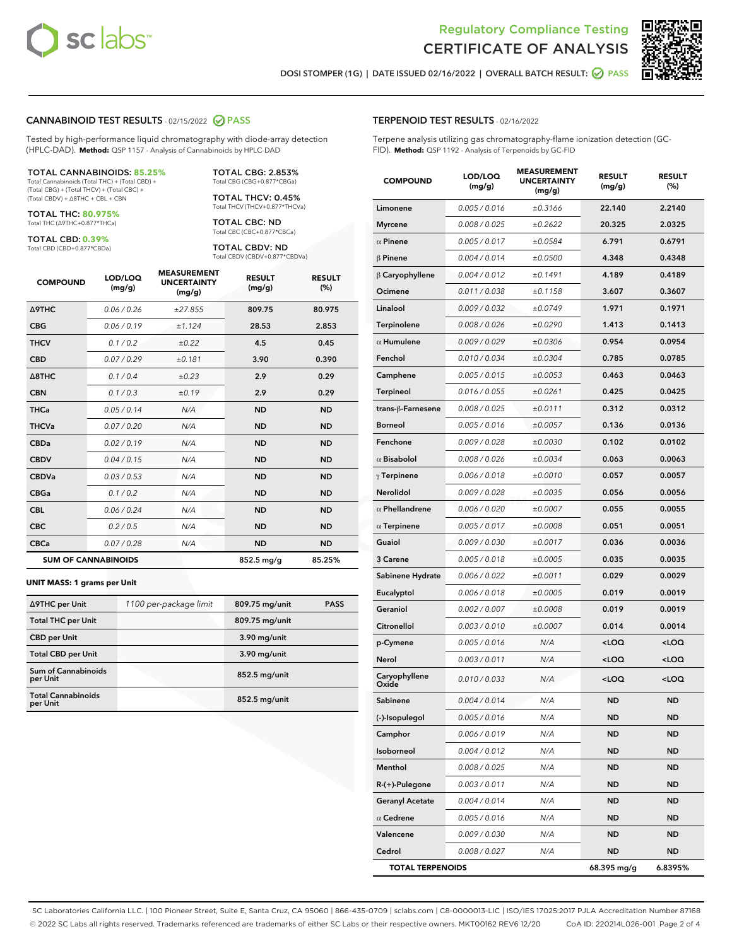



DOSI STOMPER (1G) | DATE ISSUED 02/16/2022 | OVERALL BATCH RESULT: @ PASS

#### CANNABINOID TEST RESULTS - 02/15/2022 2 PASS

Tested by high-performance liquid chromatography with diode-array detection (HPLC-DAD). **Method:** QSP 1157 - Analysis of Cannabinoids by HPLC-DAD

#### TOTAL CANNABINOIDS: **85.25%**

Total Cannabinoids (Total THC) + (Total CBD) + (Total CBG) + (Total THCV) + (Total CBC) + (Total CBDV) + ∆8THC + CBL + CBN

TOTAL THC: **80.975%** Total THC (∆9THC+0.877\*THCa)

TOTAL CBD: **0.39%**

Total CBD (CBD+0.877\*CBDa)

TOTAL CBG: 2.853% Total CBG (CBG+0.877\*CBGa)

TOTAL THCV: 0.45% Total THCV (THCV+0.877\*THCVa)

TOTAL CBC: ND Total CBC (CBC+0.877\*CBCa)

TOTAL CBDV: ND Total CBDV (CBDV+0.877\*CBDVa)

| <b>COMPOUND</b>  | LOD/LOQ<br>(mg/g)          | <b>MEASUREMENT</b><br><b>UNCERTAINTY</b><br>(mg/g) | <b>RESULT</b><br>(mg/g) | <b>RESULT</b><br>(%) |
|------------------|----------------------------|----------------------------------------------------|-------------------------|----------------------|
| <b>A9THC</b>     | 0.06 / 0.26                | ±27.855                                            | 809.75                  | 80.975               |
| <b>CBG</b>       | 0.06/0.19                  | ±1.124                                             | 28.53                   | 2.853                |
| <b>THCV</b>      | 0.1 / 0.2                  | ±0.22                                              | 4.5                     | 0.45                 |
| <b>CBD</b>       | 0.07/0.29                  | ±0.181                                             | 3.90                    | 0.390                |
| $\triangle$ 8THC | 0.1 / 0.4                  | ±0.23                                              | 2.9                     | 0.29                 |
| <b>CBN</b>       | 0.1 / 0.3                  | ±0.19                                              | 2.9                     | 0.29                 |
| <b>THCa</b>      | 0.05/0.14                  | N/A                                                | <b>ND</b>               | <b>ND</b>            |
| <b>THCVa</b>     | 0.07/0.20                  | N/A                                                | <b>ND</b>               | <b>ND</b>            |
| <b>CBDa</b>      | 0.02/0.19                  | N/A                                                | <b>ND</b>               | <b>ND</b>            |
| <b>CBDV</b>      | 0.04/0.15                  | N/A                                                | <b>ND</b>               | <b>ND</b>            |
| <b>CBDVa</b>     | 0.03/0.53                  | N/A                                                | <b>ND</b>               | <b>ND</b>            |
| <b>CBGa</b>      | 0.1/0.2                    | N/A                                                | <b>ND</b>               | <b>ND</b>            |
| <b>CBL</b>       | 0.06 / 0.24                | N/A                                                | <b>ND</b>               | <b>ND</b>            |
| <b>CBC</b>       | 0.2 / 0.5                  | N/A                                                | <b>ND</b>               | <b>ND</b>            |
| <b>CBCa</b>      | 0.07 / 0.28                | N/A                                                | <b>ND</b>               | <b>ND</b>            |
|                  | <b>SUM OF CANNABINOIDS</b> |                                                    | $852.5 \,\mathrm{mg/g}$ | 85.25%               |

#### **UNIT MASS: 1 grams per Unit**

| ∆9THC per Unit                         | 1100 per-package limit | 809.75 mg/unit  | <b>PASS</b> |
|----------------------------------------|------------------------|-----------------|-------------|
| <b>Total THC per Unit</b>              |                        | 809.75 mg/unit  |             |
| <b>CBD per Unit</b>                    |                        | 3.90 mg/unit    |             |
| <b>Total CBD per Unit</b>              |                        | 3.90 mg/unit    |             |
| <b>Sum of Cannabinoids</b><br>per Unit |                        | 852.5 mg/unit   |             |
| <b>Total Cannabinoids</b><br>per Unit  |                        | $852.5$ mg/unit |             |

| <b>COMPOUND</b>         | LOD/LOQ<br>(mg/g)    | <b>MEASUREMENT</b><br><b>UNCERTAINTY</b><br>(mg/g) | <b>RESULT</b><br>(mg/g)                         | <b>RESULT</b><br>(%) |
|-------------------------|----------------------|----------------------------------------------------|-------------------------------------------------|----------------------|
| Limonene                | 0.005 / 0.016        | ±0.3166                                            | 22.140                                          | 2.2140               |
| <b>Myrcene</b>          | 0.008 / 0.025        | ±0.2622                                            | 20.325                                          | 2.0325               |
| $\alpha$ Pinene         | 0.005 / 0.017        | ±0.0584                                            | 6.791                                           | 0.6791               |
| $\beta$ Pinene          | 0.004 / 0.014        | ±0.0500                                            | 4.348                                           | 0.4348               |
| $\beta$ Caryophyllene   | 0.004 / 0.012        | ±0.1491                                            | 4.189                                           | 0.4189               |
| Ocimene                 | 0.011 / 0.038        | ±0.1158                                            | 3.607                                           | 0.3607               |
| Linalool                | 0.009 / 0.032        | ±0.0749                                            | 1.971                                           | 0.1971               |
| Terpinolene             | 0.008 / 0.026        | ±0.0290                                            | 1.413                                           | 0.1413               |
| $\alpha$ Humulene       | 0.009 / 0.029        | ±0.0306                                            | 0.954                                           | 0.0954               |
| Fenchol                 | 0.010/0.034          | ±0.0304                                            | 0.785                                           | 0.0785               |
| Camphene                | 0.005 / 0.015        | ±0.0053                                            | 0.463                                           | 0.0463               |
| <b>Terpineol</b>        | 0.016 / 0.055        | ±0.0261                                            | 0.425                                           | 0.0425               |
| trans-ß-Farnesene       | 0.008 / 0.025        | ±0.0111                                            | 0.312                                           | 0.0312               |
| <b>Borneol</b>          | 0.005 / 0.016        | ±0.0057                                            | 0.136                                           | 0.0136               |
| Fenchone                | 0.009/0.028          | ±0.0030                                            | 0.102                                           | 0.0102               |
| $\alpha$ Bisabolol      | 0.008 / 0.026        | ±0.0034                                            | 0.063                                           | 0.0063               |
| $\gamma$ Terpinene      | 0.006 / 0.018        | ±0.0010                                            | 0.057                                           | 0.0057               |
| Nerolidol               | 0.009 / 0.028        | ±0.0035                                            | 0.056                                           | 0.0056               |
| $\alpha$ Phellandrene   | 0.006 / 0.020        | ±0.0007                                            | 0.055                                           | 0.0055               |
| $\alpha$ Terpinene      | 0.005 / 0.017        | ±0.0008                                            | 0.051                                           | 0.0051               |
| Guaiol                  | <i>0.009 / 0.030</i> | ±0.0017                                            | 0.036                                           | 0.0036               |
| 3 Carene                | 0.005 / 0.018        | ±0.0005                                            | 0.035                                           | 0.0035               |
| Sabinene Hydrate        | 0.006 / 0.022        | ±0.0011                                            | 0.029                                           | 0.0029               |
| Eucalyptol              | 0.006 / 0.018        | ±0.0005                                            | 0.019                                           | 0.0019               |
| Geraniol                | 0.002 / 0.007        | ±0.0008                                            | 0.019                                           | 0.0019               |
| Citronellol             | 0.003 / 0.010        | ±0.0007                                            | 0.014                                           | 0.0014               |
| p-Cymene                | 0.005 / 0.016        | N/A                                                | <loq< th=""><th><loq< th=""></loq<></th></loq<> | <loq< th=""></loq<>  |
| Nerol                   | 0.003 / 0.011        | N/A                                                | <loq< th=""><th><loq< th=""></loq<></th></loq<> | <loq< th=""></loq<>  |
| Caryophyllene<br>Oxide  | 0.010 / 0.033        | N/A                                                | <loq< th=""><th><loq< th=""></loq<></th></loq<> | <loq< th=""></loq<>  |
| Sabinene                | 0.004 / 0.014        | N/A                                                | ND.                                             | ND.                  |
| (-)-Isopulegol          | 0.005 / 0.016        | N/A                                                | ND                                              | <b>ND</b>            |
| Camphor                 | 0.006 / 0.019        | N/A                                                | ND                                              | ND                   |
| Isoborneol              | 0.004 / 0.012        | N/A                                                | ND                                              | ND                   |
| Menthol                 | 0.008 / 0.025        | N/A                                                | ND                                              | ND                   |
| R-(+)-Pulegone          | 0.003 / 0.011        | N/A                                                | ND                                              | ND                   |
| <b>Geranyl Acetate</b>  | 0.004 / 0.014        | N/A                                                | ND                                              | ND                   |
| $\alpha$ Cedrene        | 0.005 / 0.016        | N/A                                                | ND                                              | ND                   |
| Valencene               | 0.009 / 0.030        | N/A                                                | ND                                              | ND                   |
| Cedrol                  | 0.008 / 0.027        | N/A                                                | ND                                              | ND                   |
| <b>TOTAL TERPENOIDS</b> |                      |                                                    | 68.395 mg/g                                     | 6.8395%              |

SC Laboratories California LLC. | 100 Pioneer Street, Suite E, Santa Cruz, CA 95060 | 866-435-0709 | sclabs.com | C8-0000013-LIC | ISO/IES 17025:2017 PJLA Accreditation Number 87168 © 2022 SC Labs all rights reserved. Trademarks referenced are trademarks of either SC Labs or their respective owners. MKT00162 REV6 12/20 CoA ID: 220214L026-001 Page 2 of 4

# TERPENOID TEST RESULTS - 02/16/2022

Terpene analysis utilizing gas chromatography-flame ionization detection (GC-FID). **Method:** QSP 1192 - Analysis of Terpenoids by GC-FID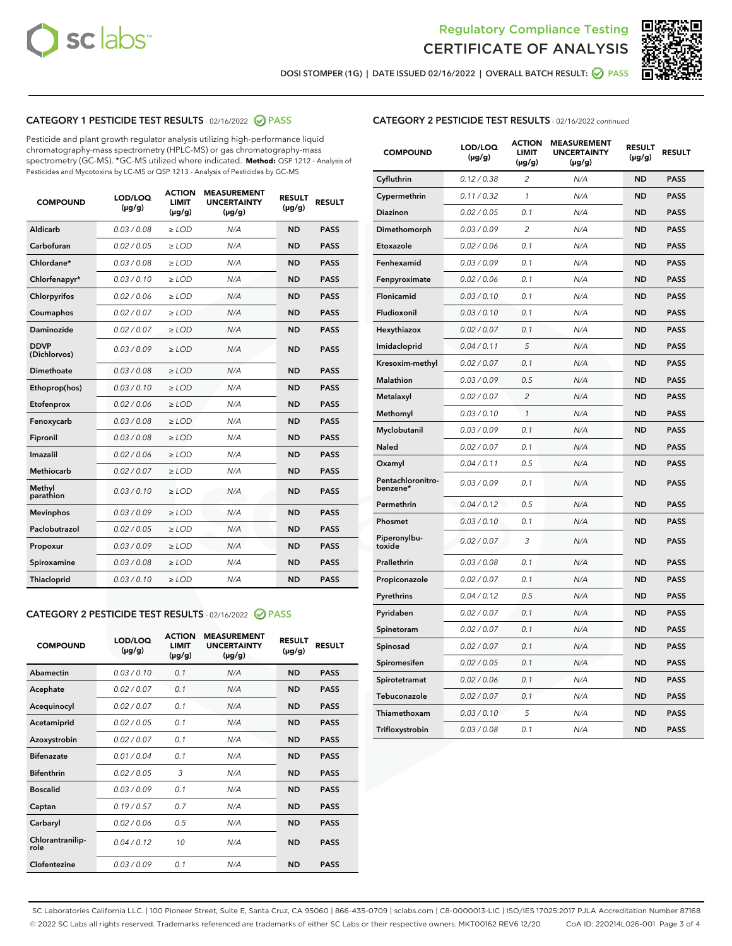



DOSI STOMPER (1G) | DATE ISSUED 02/16/2022 | OVERALL BATCH RESULT:  $\bigcirc$  PASS

# CATEGORY 1 PESTICIDE TEST RESULTS - 02/16/2022 2 PASS

Pesticide and plant growth regulator analysis utilizing high-performance liquid chromatography-mass spectrometry (HPLC-MS) or gas chromatography-mass spectrometry (GC-MS). \*GC-MS utilized where indicated. **Method:** QSP 1212 - Analysis of Pesticides and Mycotoxins by LC-MS or QSP 1213 - Analysis of Pesticides by GC-MS

| <b>COMPOUND</b>             | LOD/LOQ<br>$(\mu g/g)$ | <b>ACTION</b><br><b>LIMIT</b><br>$(\mu q/q)$ | <b>MEASUREMENT</b><br><b>UNCERTAINTY</b><br>$(\mu g/g)$ | <b>RESULT</b><br>$(\mu g/g)$ | <b>RESULT</b> |
|-----------------------------|------------------------|----------------------------------------------|---------------------------------------------------------|------------------------------|---------------|
| Aldicarb                    | 0.03 / 0.08            | $\ge$ LOD                                    | N/A                                                     | <b>ND</b>                    | <b>PASS</b>   |
| Carbofuran                  | 0.02 / 0.05            | $\ge$ LOD                                    | N/A                                                     | <b>ND</b>                    | <b>PASS</b>   |
| Chlordane*                  | 0.03 / 0.08            | $\ge$ LOD                                    | N/A                                                     | <b>ND</b>                    | <b>PASS</b>   |
| Chlorfenapyr*               | 0.03/0.10              | $\ge$ LOD                                    | N/A                                                     | <b>ND</b>                    | <b>PASS</b>   |
| Chlorpyrifos                | 0.02 / 0.06            | $\ge$ LOD                                    | N/A                                                     | <b>ND</b>                    | <b>PASS</b>   |
| Coumaphos                   | 0.02 / 0.07            | $\ge$ LOD                                    | N/A                                                     | <b>ND</b>                    | <b>PASS</b>   |
| Daminozide                  | 0.02 / 0.07            | $\ge$ LOD                                    | N/A                                                     | <b>ND</b>                    | <b>PASS</b>   |
| <b>DDVP</b><br>(Dichlorvos) | 0.03/0.09              | $\ge$ LOD                                    | N/A                                                     | <b>ND</b>                    | <b>PASS</b>   |
| Dimethoate                  | 0.03 / 0.08            | $\ge$ LOD                                    | N/A                                                     | <b>ND</b>                    | <b>PASS</b>   |
| Ethoprop(hos)               | 0.03/0.10              | $\ge$ LOD                                    | N/A                                                     | <b>ND</b>                    | <b>PASS</b>   |
| Etofenprox                  | 0.02/0.06              | $>$ LOD                                      | N/A                                                     | <b>ND</b>                    | <b>PASS</b>   |
| Fenoxycarb                  | 0.03 / 0.08            | $\ge$ LOD                                    | N/A                                                     | <b>ND</b>                    | <b>PASS</b>   |
| Fipronil                    | 0.03/0.08              | $>$ LOD                                      | N/A                                                     | <b>ND</b>                    | <b>PASS</b>   |
| Imazalil                    | 0.02 / 0.06            | $\ge$ LOD                                    | N/A                                                     | <b>ND</b>                    | <b>PASS</b>   |
| Methiocarb                  | 0.02 / 0.07            | $\ge$ LOD                                    | N/A                                                     | <b>ND</b>                    | <b>PASS</b>   |
| Methyl<br>parathion         | 0.03/0.10              | $>$ LOD                                      | N/A                                                     | <b>ND</b>                    | <b>PASS</b>   |
| <b>Mevinphos</b>            | 0.03/0.09              | $>$ LOD                                      | N/A                                                     | <b>ND</b>                    | <b>PASS</b>   |
| Paclobutrazol               | 0.02 / 0.05            | $>$ LOD                                      | N/A                                                     | <b>ND</b>                    | <b>PASS</b>   |
| Propoxur                    | 0.03/0.09              | $\ge$ LOD                                    | N/A                                                     | <b>ND</b>                    | <b>PASS</b>   |
| Spiroxamine                 | 0.03 / 0.08            | $\ge$ LOD                                    | N/A                                                     | <b>ND</b>                    | <b>PASS</b>   |
| Thiacloprid                 | 0.03/0.10              | $\ge$ LOD                                    | N/A                                                     | <b>ND</b>                    | <b>PASS</b>   |

#### CATEGORY 2 PESTICIDE TEST RESULTS - 02/16/2022 2 PASS

| <b>COMPOUND</b>          | LOD/LOQ<br>$(\mu g/g)$ | <b>ACTION</b><br><b>LIMIT</b><br>$(\mu g/g)$ | <b>MEASUREMENT</b><br><b>UNCERTAINTY</b><br>$(\mu g/g)$ | <b>RESULT</b><br>$(\mu g/g)$ | <b>RESULT</b> |
|--------------------------|------------------------|----------------------------------------------|---------------------------------------------------------|------------------------------|---------------|
| Abamectin                | 0.03/0.10              | 0.1                                          | N/A                                                     | <b>ND</b>                    | <b>PASS</b>   |
| Acephate                 | 0.02/0.07              | 0.1                                          | N/A                                                     | <b>ND</b>                    | <b>PASS</b>   |
| Acequinocyl              | 0.02/0.07              | 0.1                                          | N/A                                                     | <b>ND</b>                    | <b>PASS</b>   |
| Acetamiprid              | 0.02/0.05              | 0.1                                          | N/A                                                     | <b>ND</b>                    | <b>PASS</b>   |
| Azoxystrobin             | 0.02/0.07              | 0.1                                          | N/A                                                     | <b>ND</b>                    | <b>PASS</b>   |
| <b>Bifenazate</b>        | 0.01/0.04              | 0.1                                          | N/A                                                     | <b>ND</b>                    | <b>PASS</b>   |
| <b>Bifenthrin</b>        | 0.02 / 0.05            | 3                                            | N/A                                                     | <b>ND</b>                    | <b>PASS</b>   |
| <b>Boscalid</b>          | 0.03/0.09              | 0.1                                          | N/A                                                     | <b>ND</b>                    | <b>PASS</b>   |
| Captan                   | 0.19/0.57              | 0.7                                          | N/A                                                     | <b>ND</b>                    | <b>PASS</b>   |
| Carbaryl                 | 0.02/0.06              | 0.5                                          | N/A                                                     | <b>ND</b>                    | <b>PASS</b>   |
| Chlorantranilip-<br>role | 0.04/0.12              | 10                                           | N/A                                                     | <b>ND</b>                    | <b>PASS</b>   |
| Clofentezine             | 0.03/0.09              | 0.1                                          | N/A                                                     | <b>ND</b>                    | <b>PASS</b>   |

# CATEGORY 2 PESTICIDE TEST RESULTS - 02/16/2022 continued

| <b>COMPOUND</b>               | LOD/LOQ<br>(µg/g) | <b>ACTION</b><br><b>LIMIT</b><br>$(\mu g/g)$ | <b>MEASUREMENT</b><br><b>UNCERTAINTY</b><br>(µg/g) | <b>RESULT</b><br>$(\mu g/g)$ | <b>RESULT</b> |
|-------------------------------|-------------------|----------------------------------------------|----------------------------------------------------|------------------------------|---------------|
| Cyfluthrin                    | 0.12 / 0.38       | $\overline{\mathcal{L}}$                     | N/A                                                | <b>ND</b>                    | <b>PASS</b>   |
| Cypermethrin                  | 0.11 / 0.32       | $\mathbf{1}$                                 | N/A                                                | <b>ND</b>                    | <b>PASS</b>   |
| Diazinon                      | 0.02 / 0.05       | 0.1                                          | N/A                                                | <b>ND</b>                    | <b>PASS</b>   |
| Dimethomorph                  | 0.03 / 0.09       | $\overline{c}$                               | N/A                                                | <b>ND</b>                    | <b>PASS</b>   |
| Etoxazole                     | 0.02 / 0.06       | 0.1                                          | N/A                                                | <b>ND</b>                    | <b>PASS</b>   |
| Fenhexamid                    | 0.03 / 0.09       | 0.1                                          | N/A                                                | <b>ND</b>                    | <b>PASS</b>   |
| Fenpyroximate                 | 0.02 / 0.06       | 0.1                                          | N/A                                                | <b>ND</b>                    | <b>PASS</b>   |
| Flonicamid                    | 0.03 / 0.10       | 0.1                                          | N/A                                                | <b>ND</b>                    | <b>PASS</b>   |
| Fludioxonil                   | 0.03 / 0.10       | 0.1                                          | N/A                                                | <b>ND</b>                    | <b>PASS</b>   |
| Hexythiazox                   | 0.02 / 0.07       | 0.1                                          | N/A                                                | <b>ND</b>                    | <b>PASS</b>   |
| Imidacloprid                  | 0.04 / 0.11       | 5                                            | N/A                                                | <b>ND</b>                    | <b>PASS</b>   |
| Kresoxim-methyl               | 0.02 / 0.07       | 0.1                                          | N/A                                                | <b>ND</b>                    | <b>PASS</b>   |
| <b>Malathion</b>              | 0.03 / 0.09       | 0.5                                          | N/A                                                | <b>ND</b>                    | <b>PASS</b>   |
| Metalaxyl                     | 0.02 / 0.07       | $\overline{2}$                               | N/A                                                | <b>ND</b>                    | <b>PASS</b>   |
| Methomyl                      | 0.03 / 0.10       | $\mathbf{1}$                                 | N/A                                                | <b>ND</b>                    | <b>PASS</b>   |
| Myclobutanil                  | 0.03 / 0.09       | 0.1                                          | N/A                                                | <b>ND</b>                    | <b>PASS</b>   |
| <b>Naled</b>                  | 0.02 / 0.07       | 0.1                                          | N/A                                                | <b>ND</b>                    | <b>PASS</b>   |
| Oxamyl                        | 0.04 / 0.11       | 0.5                                          | N/A                                                | <b>ND</b>                    | <b>PASS</b>   |
| Pentachloronitro-<br>benzene* | 0.03 / 0.09       | 0.1                                          | N/A                                                | <b>ND</b>                    | <b>PASS</b>   |
| Permethrin                    | 0.04/0.12         | 0.5                                          | N/A                                                | <b>ND</b>                    | <b>PASS</b>   |
| Phosmet                       | 0.03 / 0.10       | 0.1                                          | N/A                                                | <b>ND</b>                    | <b>PASS</b>   |
| Piperonylbu-<br>toxide        | 0.02 / 0.07       | 3                                            | N/A                                                | <b>ND</b>                    | <b>PASS</b>   |
| Prallethrin                   | 0.03 / 0.08       | 0.1                                          | N/A                                                | <b>ND</b>                    | <b>PASS</b>   |
| Propiconazole                 | 0.02 / 0.07       | 0.1                                          | N/A                                                | <b>ND</b>                    | <b>PASS</b>   |
| Pyrethrins                    | 0.04 / 0.12       | 0.5                                          | N/A                                                | <b>ND</b>                    | <b>PASS</b>   |
| Pyridaben                     | 0.02 / 0.07       | 0.1                                          | N/A                                                | <b>ND</b>                    | <b>PASS</b>   |
| Spinetoram                    | 0.02 / 0.07       | 0.1                                          | N/A                                                | <b>ND</b>                    | <b>PASS</b>   |
| Spinosad                      | 0.02 / 0.07       | 0.1                                          | N/A                                                | <b>ND</b>                    | <b>PASS</b>   |
| Spiromesifen                  | 0.02 / 0.05       | 0.1                                          | N/A                                                | <b>ND</b>                    | <b>PASS</b>   |
| Spirotetramat                 | 0.02 / 0.06       | 0.1                                          | N/A                                                | <b>ND</b>                    | <b>PASS</b>   |
| Tebuconazole                  | 0.02 / 0.07       | 0.1                                          | N/A                                                | <b>ND</b>                    | <b>PASS</b>   |
| Thiamethoxam                  | 0.03 / 0.10       | 5                                            | N/A                                                | <b>ND</b>                    | <b>PASS</b>   |
| Trifloxystrobin               | 0.03 / 0.08       | 0.1                                          | N/A                                                | <b>ND</b>                    | <b>PASS</b>   |

SC Laboratories California LLC. | 100 Pioneer Street, Suite E, Santa Cruz, CA 95060 | 866-435-0709 | sclabs.com | C8-0000013-LIC | ISO/IES 17025:2017 PJLA Accreditation Number 87168 © 2022 SC Labs all rights reserved. Trademarks referenced are trademarks of either SC Labs or their respective owners. MKT00162 REV6 12/20 CoA ID: 220214L026-001 Page 3 of 4